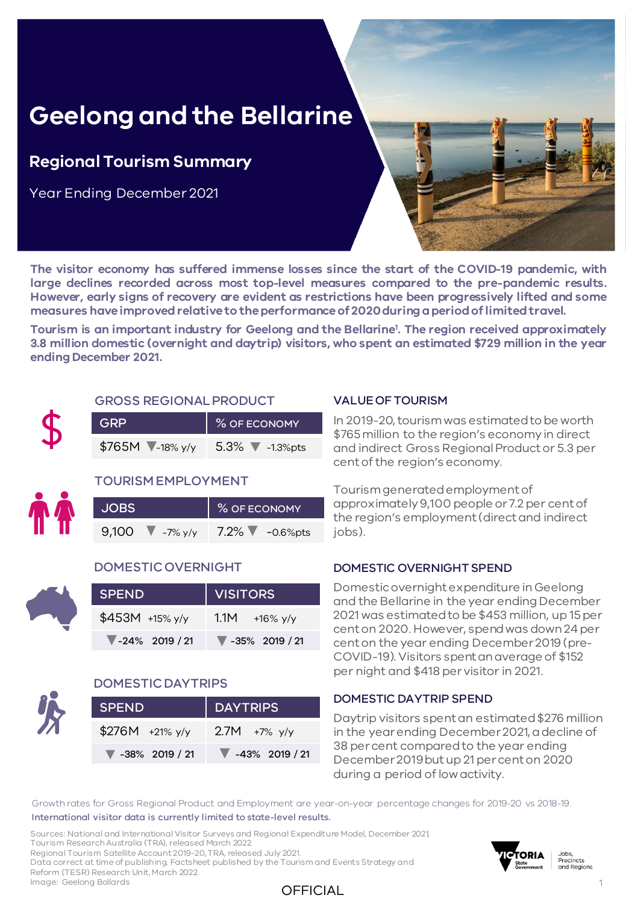# **Geelong and the Bellarine**

### **Regional Tourism Summary**

Year Ending December 2021

**The visitor economy has suffered immense losses since the start of the COVID-19 pandemic, with large declines recorded across most top-level measures compared to the pre-pandemic results. However, early signs of recovery are evident as restrictions have been progressively lifted and some measures haveimprovedrelativeto theperformanceof 2020duringaperiodoflimitedtravel.**

OFFICIAL

**Tourism is an important industry for Geelong and the Bellarine<sup>1</sup> . The region received approximately 3.8 million domestic (overnight and daytrip) visitors, who spent an estimated \$729 million in the year ending December 2021.**



#### GROSS REGIONAL PRODUCT

| <b>GRP</b>                       | % OF ECONOMY     |  |  |  |  |
|----------------------------------|------------------|--|--|--|--|
| \$765M $\sqrt{\frac{1}{18}}$ y/y | $5.3\%$ -1.3%pts |  |  |  |  |

#### TOURISM EMPLOYMENT

| <b>JOBS</b> |                   | % OF ECONOMY |             |
|-------------|-------------------|--------------|-------------|
| 9,100       | $\sqrt{-7\% y/y}$ | $7.2\%$ V    | $-0.6%$ pts |

#### DOMESTIC OVERNIGHT

| <b>SPEND</b>      | VISITORS                 |
|-------------------|--------------------------|
| $$453M +15\%$ y/y | $1.1M + 16\%$ y/y        |
| $-24\%$ 2019 / 21 | $\sqrt{}$ -35% 2019 / 21 |



#### DOMESTIC DAYTRIPS

| <b>SPEND</b>                        | DAYTRIPS          |  |  |  |  |  |
|-------------------------------------|-------------------|--|--|--|--|--|
| $$276M +21\%$ y/y                   | $2.7M + 7%$ y/y   |  |  |  |  |  |
| $\blacktriangledown$ -38% 2019 / 21 | $-43\%$ 2019 / 21 |  |  |  |  |  |

#### VALUE OF TOURISM

In 2019-20, tourism was estimated to be worth \$765 million to the region's economy in direct and indirect Gross Regional Product or 5.3 per cent of the region's economy.

Tourism generated employment of approximately 9,100 people or 7.2 per cent of the region's employment (direct and indirect iobs).

#### DOMESTIC OVERNIGHT SPEND

Domestic overnight expenditure in Geelong and the Bellarine in the year ending December 2021 was estimated to be \$453 million, up 15 per cent on 2020. However, spend was down 24 per cent on the year ending December 2019 (pre-COVID-19). Visitors spent an average of \$152 per night and \$418 per visitor in 2021.

#### DOMESTIC DAYTRIP SPEND

Daytrip visitors spent an estimated \$276 million in the year ending December 2021, a decline of 38 per cent compared to the year ending December 2019 but up 21 per cent on 2020 during a period of low activity.

Growth rates for Gross Regional Product and Employment are year-on-year percentage changes for 2019-20 vs 2018-19. International visitor data is currently limited to state-level results.

Sources: National and International Visitor Surveys and Regional Expenditure Model, December 2021, Tourism Research Australia (TRA), released March 2022. Regional Tourism Satellite Account 2019-20, TRA, released July 2021. Data correct at time of publishing. Factsheet published by the Tourism and Events Strategy and Reform (TESR) Research Unit, March 2022. Image: Geelong Bollards



Jobs,<br>Precincts and Regions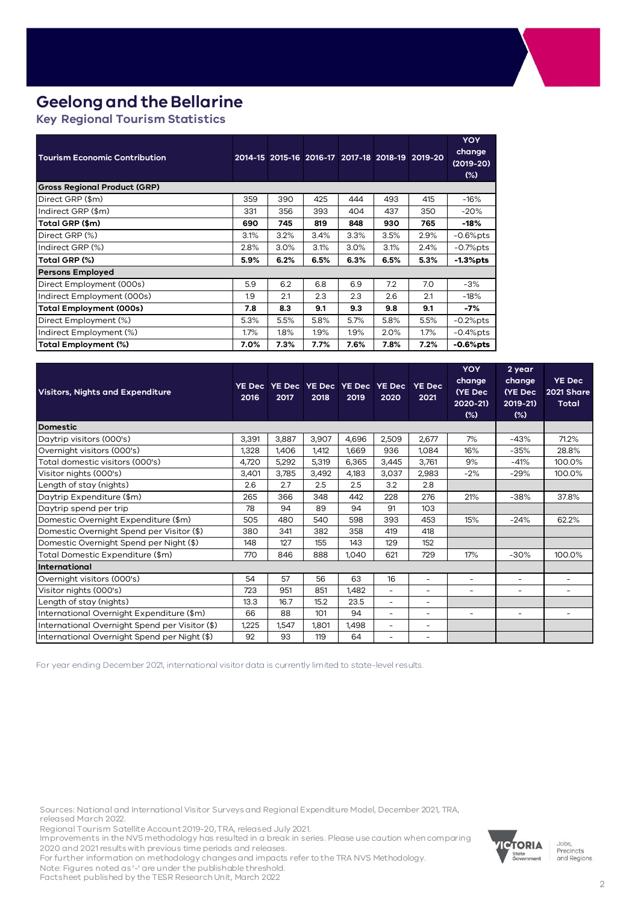## **Geelong and the Bellarine**

**Key Regional Tourism Statistics** 

| <b>Tourism Economic Contribution</b> |      |      |      |      |      | 2014-15 2015-16 2016-17 2017-18 2018-19 2019-20 | <b>YOY</b><br>change<br>$(2019 - 20)$<br>$(\%)$ |
|--------------------------------------|------|------|------|------|------|-------------------------------------------------|-------------------------------------------------|
| <b>Gross Regional Product (GRP)</b>  |      |      |      |      |      |                                                 |                                                 |
| Direct GRP (\$m)                     | 359  | 390  | 425  | 444  | 493  | 415                                             | $-16%$                                          |
| Indirect GRP (\$m)                   | 331  | 356  | 393  | 404  | 437  | 350                                             | $-20%$                                          |
| Total GRP (\$m)                      | 690  | 745  | 819  | 848  | 930  | 765                                             | -18%                                            |
| Direct GRP (%)                       | 3.1% | 3.2% | 3.4% | 3.3% | 3.5% | 2.9%                                            | $-0.6%$ pts                                     |
| Indirect GRP (%)                     | 2.8% | 3.0% | 3.1% | 3.0% | 3.1% | 2.4%                                            | $-0.7%$ pts                                     |
| Total GRP (%)                        | 5.9% | 6.2% | 6.5% | 6.3% | 6.5% | 5.3%                                            | $-1.3%$ pts                                     |
| <b>Persons Employed</b>              |      |      |      |      |      |                                                 |                                                 |
| Direct Employment (000s)             | 5.9  | 6.2  | 6.8  | 6.9  | 7.2  | 7.0                                             | $-3%$                                           |
| Indirect Employment (000s)           | 1.9  | 2.1  | 2.3  | 2.3  | 2.6  | 2.1                                             | $-18%$                                          |
| Total Employment (000s)              | 7.8  | 8.3  | 9.1  | 9.3  | 9.8  | 9.1                                             | -7%                                             |
| Direct Employment (%)                | 5.3% | 5.5% | 5.8% | 5.7% | 5.8% | 5.5%                                            | $-0.2%$ pts                                     |
| Indirect Employment (%)              | 1.7% | 1.8% | 1.9% | 1.9% | 2.0% | 1.7%                                            | $-0.4%$ pts                                     |
| Total Employment (%)                 | 7.0% | 7.3% | 7.7% | 7.6% | 7.8% | 7.2%                                            | $-0.6%$ pts                                     |

| Visitors, Nights and Expenditure               | YE Decl<br>2016 | 2017  | 2018  | YE Dec   YE Dec   YE Dec   YE Dec<br>2019 | 2020           | <b>YE Dec</b><br>2021    | <b>YOY</b><br>change<br>(YE Dec<br>$2020 - 21$<br>(%) | 2 year<br>change<br>(YE Dec<br>2019-21)<br>$(\%)$ | <b>YE Dec</b><br>2021 Share<br>Total |
|------------------------------------------------|-----------------|-------|-------|-------------------------------------------|----------------|--------------------------|-------------------------------------------------------|---------------------------------------------------|--------------------------------------|
| <b>Domestic</b>                                |                 |       |       |                                           |                |                          |                                                       |                                                   |                                      |
| Daytrip visitors (000's)                       | 3,391           | 3,887 | 3,907 | 4,696                                     | 2,509          | 2,677                    | 7%                                                    | $-43%$                                            | 71.2%                                |
| Overnight visitors (000's)                     | 1,328           | 1,406 | 1,412 | 1,669                                     | 936            | 1,084                    | 16%                                                   | $-35%$                                            | 28.8%                                |
| Total domestic visitors (000's)                | 4,720           | 5,292 | 5,319 | 6,365                                     | 3,445          | 3,761                    | 9%                                                    | $-41%$                                            | 100.0%                               |
| Visitor nights (000's)                         | 3,401           | 3,785 | 3,492 | 4,183                                     | 3,037          | 2,983                    | $-2%$                                                 | $-29%$                                            | 100.0%                               |
| Length of stay (nights)                        | 2.6             | 2.7   | 2.5   | 2.5                                       | 3.2            | 2.8                      |                                                       |                                                   |                                      |
| Daytrip Expenditure (\$m)                      | 265             | 366   | 348   | 442                                       | 228            | 276                      | 21%                                                   | $-38%$                                            | 37.8%                                |
| Daytrip spend per trip                         | 78              | 94    | 89    | 94                                        | 91             | 103                      |                                                       |                                                   |                                      |
| Domestic Overnight Expenditure (\$m)           | 505             | 480   | 540   | 598                                       | 393            | 453                      | 15%                                                   | $-24%$                                            | 62.2%                                |
| Domestic Overnight Spend per Visitor (\$)      | 380             | 341   | 382   | 358                                       | 419            | 418                      |                                                       |                                                   |                                      |
| Domestic Overnight Spend per Night (\$)        | 148             | 127   | 155   | 143                                       | 129            | 152                      |                                                       |                                                   |                                      |
| Total Domestic Expenditure (\$m)               | 770             | 846   | 888   | 1,040                                     | 621            | 729                      | 17%                                                   | $-30%$                                            | 100.0%                               |
| International                                  |                 |       |       |                                           |                |                          |                                                       |                                                   |                                      |
| Overnight visitors (000's)                     | 54              | 57    | 56    | 63                                        | 16             | $\overline{\phantom{0}}$ | $\overline{\phantom{a}}$                              | $\overline{\phantom{a}}$                          | $\overline{\phantom{0}}$             |
| Visitor nights (000's)                         | 723             | 951   | 851   | 1,482                                     | $\overline{a}$ | $\overline{\phantom{a}}$ | $\overline{\phantom{0}}$                              | $\overline{\phantom{a}}$                          | Ξ.                                   |
| Length of stay (nights)                        | 13.3            | 16.7  | 15.2  | 23.5                                      | ÷,             | $\overline{\phantom{a}}$ |                                                       |                                                   |                                      |
| International Overnight Expenditure (\$m)      | 66              | 88    | 101   | 94                                        | ÷,             | $\overline{\phantom{a}}$ | ۰                                                     | $\overline{\phantom{m}}$                          | $\overline{\phantom{0}}$             |
| International Overnight Spend per Visitor (\$) | 1,225           | 1,547 | 1,801 | 1,498                                     | ÷,             | $\overline{\phantom{a}}$ |                                                       |                                                   |                                      |
| International Overnight Spend per Night (\$)   | 92              | 93    | 119   | 64                                        | ۰              | $\overline{\phantom{0}}$ |                                                       |                                                   |                                      |

For year ending December 2021, international visitor data is currently limited to state-level results.

Sources: National and International Visitor Surveys and Regional Expenditure Model, December 2021, TRA, released March 2022.

Regional Tourism Satellite Account 2019-20, TRA, released July 2021.

Improvements in the NVS methodology has resulted in a break in series. Please use caution when comparing 2020 and 2021 results with previous time periods and releases.

For further information on methodology changes and impacts refer to the TRA NVS Methodology.

Note: Figures noted as '-' are under the publishable threshold.

Factsheet published by the TESR Research Unit, March 2022